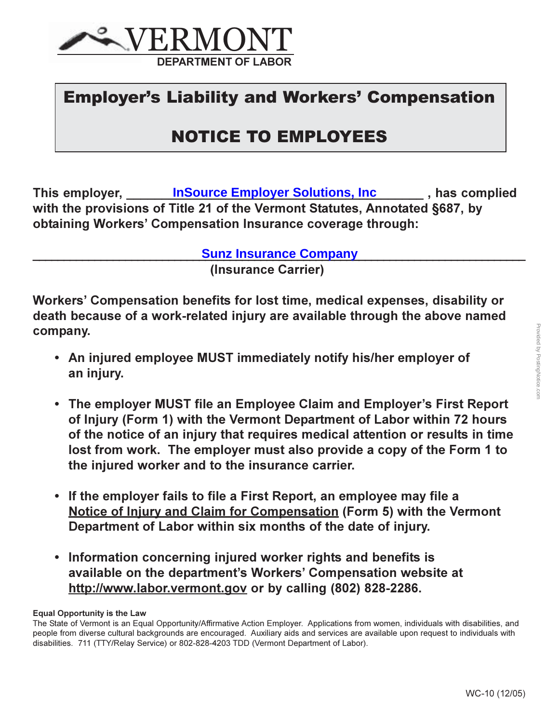

#### **Employer's Liability and Workers' Compensation**

#### **NOTICE TO EMPLOYEES**

This employer, **InSource Employer Solutions, Inc** , has complied with the provisions of Title 21 of the Vermont Statutes, Annotated §687, by obtaining Workers' Compensation Insurance coverage through:

**Sunz Insurance Company** 

(Insurance Carrier)

Workers' Compensation benefits for lost time, medical expenses, disability or death because of a work-related injury are available through the above named company.

- An injured employee MUST immediately notify his/her employer of an injury.
- The employer MUST file an Employee Claim and Employer's First Report of Injury (Form 1) with the Vermont Department of Labor within 72 hours of the notice of an injury that requires medical attention or results in time lost from work. The employer must also provide a copy of the Form 1 to the injured worker and to the insurance carrier.
- If the employer fails to file a First Report, an employee may file a Notice of Injury and Claim for Compensation (Form 5) with the Vermont Department of Labor within six months of the date of injury.
- Information concerning injured worker rights and benefits is available on the department's Workers' Compensation website at http://www.labor.vermont.gov or by calling (802) 828-2286.

**Equal Opportunity is the Law** 

The State of Vermont is an Equal Opportunity/Affirmative Action Employer. Applications from women, individuals with disabilities, and people from diverse cultural backgrounds are encouraged. Auxiliary aids and services are available upon request to individuals with disabilities. 711 (TTY/Relay Service) or 802-828-4203 TDD (Vermont Department of Labor).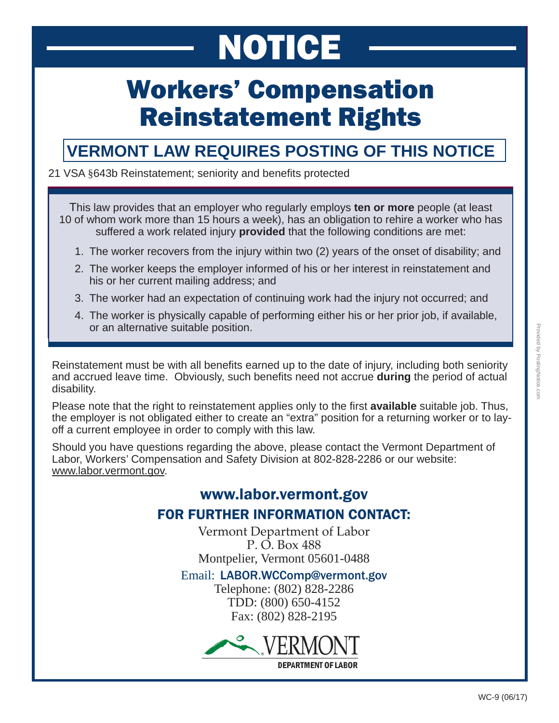# NOTICE

# Workers' Compensation Reinstatement Rights

#### **VERMONT LAW REQUIRES POSTING OF THIS NOTICE**

#### 21 VSA §643b Reinstatement; seniority and benefits protected

This law provides that an employer who regularly employs **ten or more** people (at least 10 of whom work more than 15 hours a week), has an obligation to rehire a worker who has suffered a work related injury **provided** that the following conditions are met:

- 1. The worker recovers from the injury within two (2) years of the onset of disability; and
- 2. The worker keeps the employer informed of his or her interest in reinstatement and his or her current mailing address; and
- 3. The worker had an expectation of continuing work had the injury not occurred; and
- 4. The worker is physically capable of performing either his or her prior job, if available, or an alternative suitable position.

Reinstatement must be with all benefits earned up to the date of injury, including both seniority and accrued leave time. Obviously, such benefits need not accrue **during** the period of actual disability.

Please note that the right to reinstatement applies only to the first **available** suitable job. Thus, the employer is not obligated either to create an "extra" position for a returning worker or to layoff a current employee in order to comply with this law.

Should you have questions regarding the above, please contact the Vermont Department of Labor, Workers' Compensation and Safety Division at 802-828-2286 or our website: www.labor.vermont.gov.

#### www.labor.vermont.gov FOR FURTHER INFORMATION CONTACT:

Vermont Department of Labor P. O. Box 488 Montpelier, Vermont 05601-0488

Email: LABOR.WCComp@vermont.gov

Telephone: (802) 828-2286 TDD: (800) 650-4152 Fax: (802) 828-2195